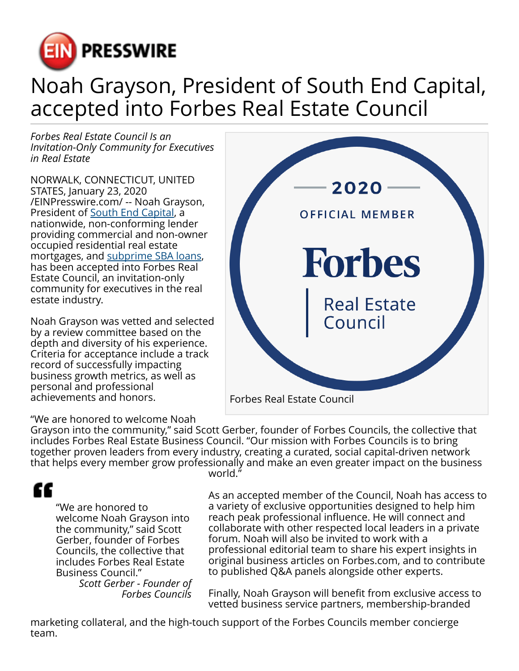

## Noah Grayson, President of South End Capital, accepted into Forbes Real Estate Council

*Forbes Real Estate Council Is an Invitation-Only Community for Executives in Real Estate*

NORWALK, CONNECTICUT, UNITED STATES, January 23, 2020 [/EINPresswire.com/](http://www.einpresswire.com) -- Noah Grayson, President of [South End Capital](https://southendcapital.com/), a nationwide, non-conforming lender providing commercial and non-owner occupied residential real estate mortgages, and [subprime SBA loans,](https://southendcapital.com/programs/) has been accepted into Forbes Real Estate Council, an invitation-only community for executives in the real estate industry.

Noah Grayson was vetted and selected by a review committee based on the depth and diversity of his experience. Criteria for acceptance include a track record of successfully impacting business growth metrics, as well as personal and professional achievements and honors.

"We are honored to welcome Noah



Grayson into the community," said Scott Gerber, founder of Forbes Councils, the collective that includes Forbes Real Estate Business Council. "Our mission with Forbes Councils is to bring together proven leaders from every industry, creating a curated, social capital-driven network that helps every member grow professionally and make an even greater impact on the business

## ££

"We are honored to welcome Noah Grayson into the community," said Scott Gerber, founder of Forbes Councils, the collective that includes Forbes Real Estate Business Council."

*Scott Gerber - Founder of Forbes Councils*

world."

As an accepted member of the Council, Noah has access to a variety of exclusive opportunities designed to help him reach peak professional influence. He will connect and collaborate with other respected local leaders in a private forum. Noah will also be invited to work with a professional editorial team to share his expert insights in original business articles on Forbes.com, and to contribute to published Q&A panels alongside other experts.

Finally, Noah Grayson will benefit from exclusive access to vetted business service partners, membership-branded

marketing collateral, and the high-touch support of the Forbes Councils member concierge team.